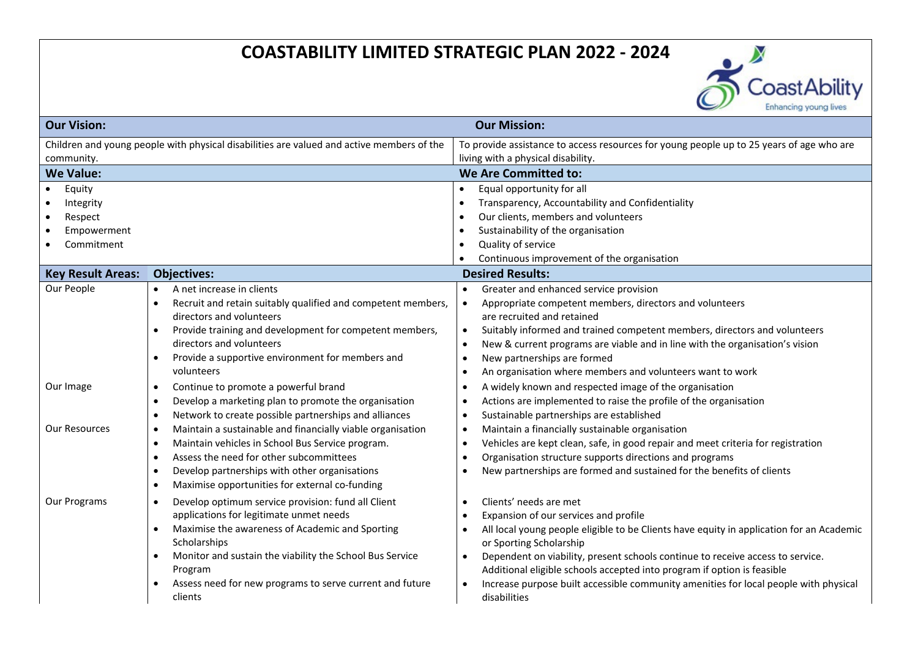# **COASTABILITY LIMITED STRATEGIC PLAN 2022 - 2024**



| <b>Our Vision:</b>                                                                        |                                                                           | <b>Our Mission:</b>                                                                           |  |
|-------------------------------------------------------------------------------------------|---------------------------------------------------------------------------|-----------------------------------------------------------------------------------------------|--|
| Children and young people with physical disabilities are valued and active members of the |                                                                           | To provide assistance to access resources for young people up to 25 years of age who are      |  |
| community.                                                                                |                                                                           | living with a physical disability.                                                            |  |
| <b>We Value:</b>                                                                          |                                                                           | <b>We Are Committed to:</b>                                                                   |  |
| Equity                                                                                    |                                                                           | Equal opportunity for all                                                                     |  |
| Integrity                                                                                 |                                                                           | Transparency, Accountability and Confidentiality                                              |  |
| Respect                                                                                   |                                                                           | Our clients, members and volunteers                                                           |  |
| Empowerment<br>$\bullet$                                                                  |                                                                           | Sustainability of the organisation                                                            |  |
| Commitment                                                                                |                                                                           | Quality of service                                                                            |  |
|                                                                                           |                                                                           | Continuous improvement of the organisation                                                    |  |
| <b>Key Result Areas:</b>                                                                  | <b>Objectives:</b>                                                        | <b>Desired Results:</b>                                                                       |  |
| Our People                                                                                | A net increase in clients<br>$\bullet$                                    | Greater and enhanced service provision<br>$\bullet$                                           |  |
|                                                                                           | Recruit and retain suitably qualified and competent members,<br>$\bullet$ | Appropriate competent members, directors and volunteers<br>$\bullet$                          |  |
|                                                                                           | directors and volunteers                                                  | are recruited and retained                                                                    |  |
|                                                                                           | Provide training and development for competent members,<br>$\bullet$      | Suitably informed and trained competent members, directors and volunteers<br>$\bullet$        |  |
|                                                                                           | directors and volunteers                                                  | New & current programs are viable and in line with the organisation's vision<br>$\bullet$     |  |
|                                                                                           | Provide a supportive environment for members and<br>$\bullet$             | New partnerships are formed<br>٠                                                              |  |
|                                                                                           | volunteers                                                                | An organisation where members and volunteers want to work<br>٠                                |  |
| Our Image                                                                                 | Continue to promote a powerful brand<br>$\bullet$                         | A widely known and respected image of the organisation<br>$\bullet$                           |  |
|                                                                                           | Develop a marketing plan to promote the organisation<br>$\bullet$         | Actions are implemented to raise the profile of the organisation<br>$\bullet$                 |  |
|                                                                                           | Network to create possible partnerships and alliances<br>$\bullet$        | Sustainable partnerships are established<br>$\bullet$                                         |  |
| Our Resources                                                                             | Maintain a sustainable and financially viable organisation<br>$\bullet$   | Maintain a financially sustainable organisation<br>$\bullet$                                  |  |
|                                                                                           | Maintain vehicles in School Bus Service program.<br>$\bullet$             | Vehicles are kept clean, safe, in good repair and meet criteria for registration<br>$\bullet$ |  |
|                                                                                           | Assess the need for other subcommittees<br>$\bullet$                      | Organisation structure supports directions and programs<br>٠                                  |  |
|                                                                                           | Develop partnerships with other organisations<br>$\bullet$                | New partnerships are formed and sustained for the benefits of clients                         |  |
|                                                                                           | Maximise opportunities for external co-funding<br>$\bullet$               |                                                                                               |  |
| Our Programs                                                                              | Develop optimum service provision: fund all Client<br>$\bullet$           | Clients' needs are met<br>$\bullet$                                                           |  |
|                                                                                           | applications for legitimate unmet needs                                   | Expansion of our services and profile                                                         |  |
|                                                                                           | Maximise the awareness of Academic and Sporting<br>$\bullet$              | All local young people eligible to be Clients have equity in application for an Academic<br>٠ |  |
|                                                                                           | Scholarships                                                              | or Sporting Scholarship                                                                       |  |
|                                                                                           | Monitor and sustain the viability the School Bus Service<br>$\bullet$     | Dependent on viability, present schools continue to receive access to service.<br>$\bullet$   |  |
|                                                                                           | Program                                                                   | Additional eligible schools accepted into program if option is feasible                       |  |
|                                                                                           | Assess need for new programs to serve current and future<br>$\bullet$     | Increase purpose built accessible community amenities for local people with physical          |  |
|                                                                                           | clients                                                                   | disabilities                                                                                  |  |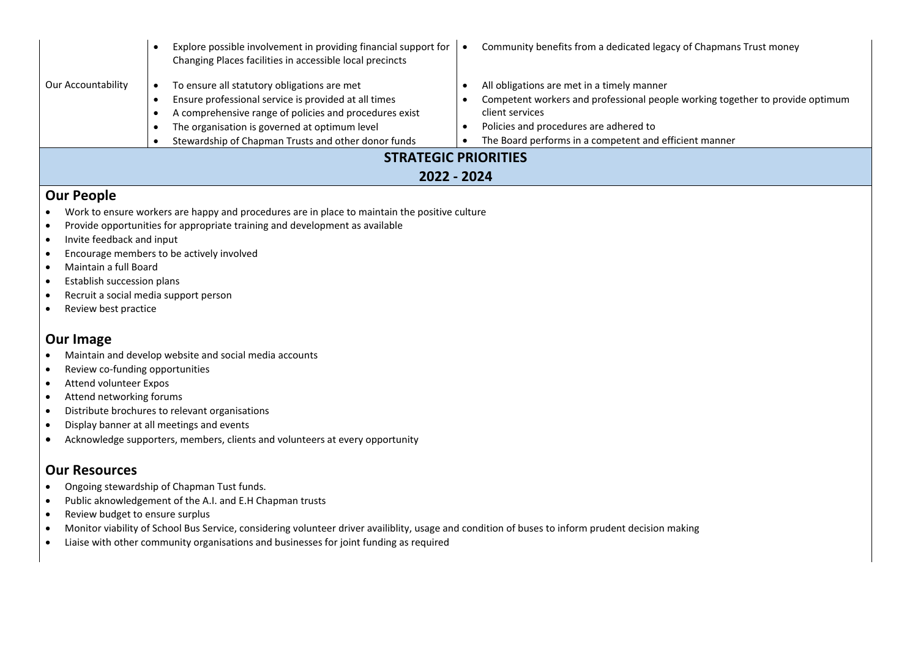|                                            |  | Explore possible involvement in providing financial support for<br>Changing Places facilities in accessible local precincts                                                                                            |  | Community benefits from a dedicated legacy of Chapmans Trust money                                                                                                                                   |  |
|--------------------------------------------|--|------------------------------------------------------------------------------------------------------------------------------------------------------------------------------------------------------------------------|--|------------------------------------------------------------------------------------------------------------------------------------------------------------------------------------------------------|--|
| Our Accountability                         |  | To ensure all statutory obligations are met                                                                                                                                                                            |  | All obligations are met in a timely manner                                                                                                                                                           |  |
|                                            |  | Ensure professional service is provided at all times<br>A comprehensive range of policies and procedures exist<br>The organisation is governed at optimum level<br>Stewardship of Chapman Trusts and other donor funds |  | Competent workers and professional people working together to provide optimum<br>client services<br>Policies and procedures are adhered to<br>The Board performs in a competent and efficient manner |  |
| <b>STRATEGIC PRIORITIES</b><br>2022 - 2024 |  |                                                                                                                                                                                                                        |  |                                                                                                                                                                                                      |  |
|                                            |  |                                                                                                                                                                                                                        |  |                                                                                                                                                                                                      |  |

### **Our People**

- Work to ensure workers are happy and procedures are in place to maintain the positive culture
- Provide opportunities for appropriate training and development as available
- Invite feedback and input
- Encourage members to be actively involved
- Maintain a full Board
- Establish succession plans
- Recruit a social media support person
- Review best practice

## **Our Image**

- Maintain and develop website and social media accounts
- Review co-funding opportunities
- Attend volunteer Expos
- Attend networking forums
- Distribute brochures to relevant organisations
- Display banner at all meetings and events
- Acknowledge supporters, members, clients and volunteers at every opportunity

#### **Our Resources**

- Ongoing stewardship of Chapman Tust funds.
- Public aknowledgement of the A.I. and E.H Chapman trusts
- Review budget to ensure surplus
- Monitor viability of School Bus Service, considering volunteer driver availiblity, usage and condition of buses to inform prudent decision making
- Liaise with other community organisations and businesses for joint funding as required